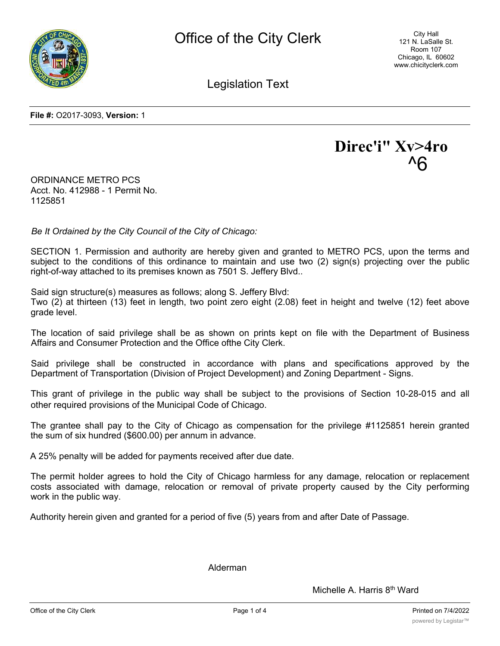

City Hall 121 N. LaSalle St. Room 107 Chicago, IL 60602 www.chicityclerk.com

Legislation Text

**File #:** O2017-3093, **Version:** 1



ORDINANCE METRO PCS Acct. No. 412988 - 1 Permit No. 1125851

*Be It Ordained by the City Council of the City of Chicago:*

SECTION 1. Permission and authority are hereby given and granted to METRO PCS, upon the terms and subject to the conditions of this ordinance to maintain and use two (2) sign(s) projecting over the public right-of-way attached to its premises known as 7501 S. Jeffery Blvd..

Said sign structure(s) measures as follows; along S. Jeffery Blvd:

Two (2) at thirteen (13) feet in length, two point zero eight (2.08) feet in height and twelve (12) feet above grade level.

The location of said privilege shall be as shown on prints kept on file with the Department of Business Affairs and Consumer Protection and the Office ofthe City Clerk.

Said privilege shall be constructed in accordance with plans and specifications approved by the Department of Transportation (Division of Project Development) and Zoning Department - Signs.

This grant of privilege in the public way shall be subject to the provisions of Section 10-28-015 and all other required provisions of the Municipal Code of Chicago.

The grantee shall pay to the City of Chicago as compensation for the privilege #1125851 herein granted the sum of six hundred (\$600.00) per annum in advance.

A 25% penalty will be added for payments received after due date.

The permit holder agrees to hold the City of Chicago harmless for any damage, relocation or replacement costs associated with damage, relocation or removal of private property caused by the City performing work in the public way.

Authority herein given and granted for a period of five (5) years from and after Date of Passage.

Alderman

Michelle A. Harris 8<sup>th</sup> Ward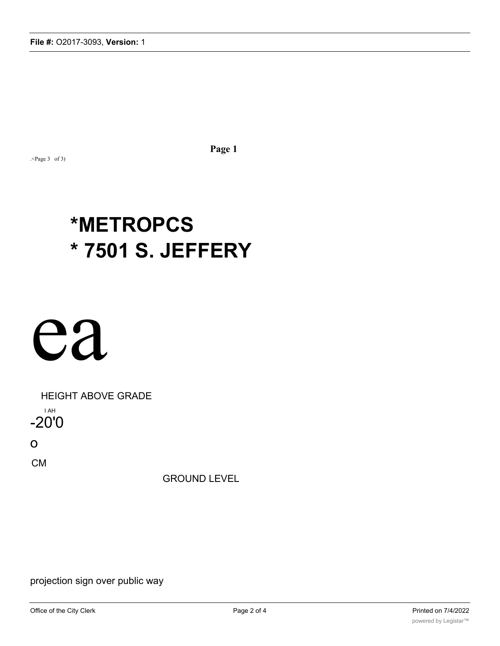.<Page 3 of 3)

**Page 1**

# **\*METROPCS \* 7501 S. JEFFERY**

# ea

HEIGHT ABOVE GRADE I AH -20'0

o

CM

GROUND LEVEL

projection sign over public way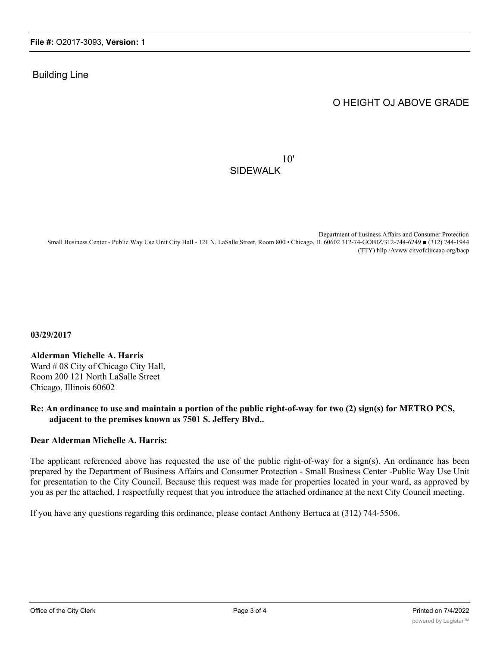#### Building Line

## O HEIGHT OJ ABOVE GRADE

### 10' SIDEWALK

Department of liusiness Affairs and Consumer Protection Small Business Center - Public Way Use Unit City Hall - 121 N. LaSalle Street, Room 800 • Chicago, II. 60602 312-74-GOBIZ/312-744-6249 ■ (312) 744-1944 (TTY) hllp /Avww citvofcliicaao org/bacp

**03/29/2017**

### **Alderman Michelle A. Harris**

Ward # 08 City of Chicago City Hall, Room 200 121 North LaSalle Street Chicago, Illinois 60602

#### **Re: An ordinance to use and maintain a portion of the public right-of-way for two (2) sign(s) for METRO PCS, adjacent to the premises known as 7501 S. Jeffery Blvd..**

#### **Dear Alderman Michelle A. Harris:**

The applicant referenced above has requested the use of the public right-of-way for a sign(s). An ordinance has been prepared by the Department of Business Affairs and Consumer Protection - Small Business Center -Public Way Use Unit for presentation to the City Council. Because this request was made for properties located in your ward, as approved by you as per thc attached, I respectfully request that you introduce the attached ordinance at the next City Council meeting.

If you have any questions regarding this ordinance, please contact Anthony Bertuca at (312) 744-5506.